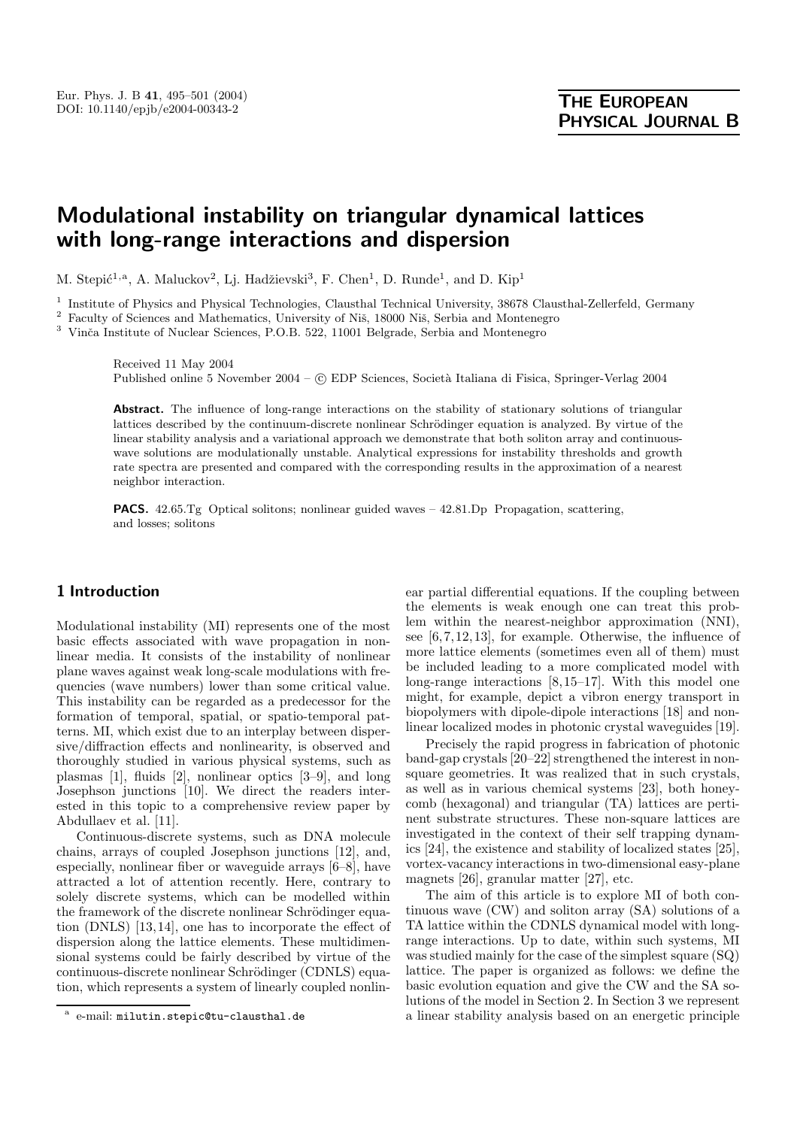# **Modulational instability on triangular dynamical lattices with long-range interactions and dispersion**

M. Stepić<sup>1,a</sup>, A. Maluckov<sup>2</sup>, Lj. Hadžievski<sup>3</sup>, F. Chen<sup>1</sup>, D. Runde<sup>1</sup>, and D. Kip<sup>1</sup>

<sup>1</sup> Institute of Physics and Physical Technologies, Clausthal Technical University, 38678 Clausthal-Zellerfeld, Germany

 $^{\rm 2}$  Faculty of Sciences and Mathematics, University of Niš, 18000 Niš, Serbia and Montenegro

 $^3\,$ Vinča Institute of Nuclear Sciences, P.O.B. 522, 11001 Belgrade, Serbia and Montenegro

Received 11 May 2004 Published online 5 November 2004 – © EDP Sciences, Società Italiana di Fisica, Springer-Verlag 2004

Abstract. The influence of long-range interactions on the stability of stationary solutions of triangular lattices described by the continuum-discrete nonlinear Schrödinger equation is analyzed. By virtue of the linear stability analysis and a variational approach we demonstrate that both soliton array and continuouswave solutions are modulationally unstable. Analytical expressions for instability thresholds and growth rate spectra are presented and compared with the corresponding results in the approximation of a nearest neighbor interaction.

**PACS.** 42.65.Tg Optical solitons; nonlinear guided waves – 42.81.Dp Propagation, scattering, and losses; solitons

## **1 Introduction**

Modulational instability (MI) represents one of the most basic effects associated with wave propagation in nonlinear media. It consists of the instability of nonlinear plane waves against weak long-scale modulations with frequencies (wave numbers) lower than some critical value. This instability can be regarded as a predecessor for the formation of temporal, spatial, or spatio-temporal patterns. MI, which exist due to an interplay between dispersive/diffraction effects and nonlinearity, is observed and thoroughly studied in various physical systems, such as plasmas [1], fluids [2], nonlinear optics [3–9], and long Josephson junctions [10]. We direct the readers interested in this topic to a comprehensive review paper by Abdullaev et al. [11].

Continuous-discrete systems, such as DNA molecule chains, arrays of coupled Josephson junctions [12], and, especially, nonlinear fiber or waveguide arrays [6–8], have attracted a lot of attention recently. Here, contrary to solely discrete systems, which can be modelled within the framework of the discrete nonlinear Schrödinger equation (DNLS) [13,14], one has to incorporate the effect of dispersion along the lattice elements. These multidimensional systems could be fairly described by virtue of the continuous-discrete nonlinear Schrödinger (CDNLS) equation, which represents a system of linearly coupled nonlinear partial differential equations. If the coupling between the elements is weak enough one can treat this problem within the nearest-neighbor approximation (NNI), see [6,7,12,13], for example. Otherwise, the influence of more lattice elements (sometimes even all of them) must be included leading to a more complicated model with long-range interactions [8,15–17]. With this model one might, for example, depict a vibron energy transport in biopolymers with dipole-dipole interactions [18] and nonlinear localized modes in photonic crystal waveguides [19].

Precisely the rapid progress in fabrication of photonic band-gap crystals [20–22] strengthened the interest in nonsquare geometries. It was realized that in such crystals, as well as in various chemical systems [23], both honeycomb (hexagonal) and triangular (TA) lattices are pertinent substrate structures. These non-square lattices are investigated in the context of their self trapping dynamics [24], the existence and stability of localized states [25], vortex-vacancy interactions in two-dimensional easy-plane magnets [26], granular matter [27], etc.

The aim of this article is to explore MI of both continuous wave (CW) and soliton array (SA) solutions of a TA lattice within the CDNLS dynamical model with longrange interactions. Up to date, within such systems, MI was studied mainly for the case of the simplest square (SQ) lattice. The paper is organized as follows: we define the basic evolution equation and give the CW and the SA solutions of the model in Section 2. In Section 3 we represent a linear stability analysis based on an energetic principle

e-mail: milutin.stepic@tu-clausthal.de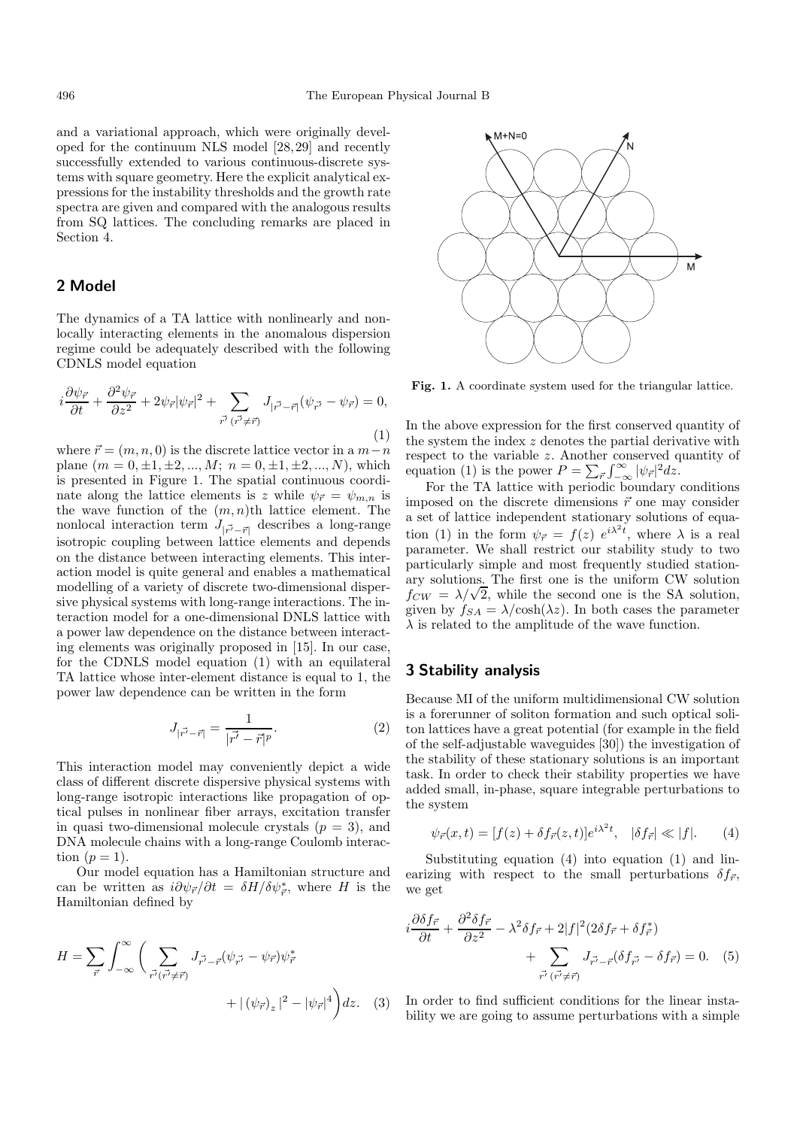and a variational approach, which were originally developed for the continuum NLS model [28,29] and recently successfully extended to various continuous-discrete systems with square geometry. Here the explicit analytical expressions for the instability thresholds and the growth rate spectra are given and compared with the analogous results from SQ lattices. The concluding remarks are placed in Section 4.

## **2 Model**

The dynamics of a TA lattice with nonlinearly and nonlocally interacting elements in the anomalous dispersion regime could be adequately described with the following CDNLS model equation

$$
i\frac{\partial \psi_{\vec{r}}}{\partial t} + \frac{\partial^2 \psi_{\vec{r}}}{\partial z^2} + 2\psi_{\vec{r}} |\psi_{\vec{r}}|^2 + \sum_{\vec{r'} \ (\vec{r'} \neq \vec{r})} J_{|\vec{r'} - \vec{r}|} (\psi_{\vec{r'}} - \psi_{\vec{r}}) = 0,
$$
\n(1)

where  $\vec{r} = (m, n, 0)$  is the discrete lattice vector in a  $m - n$ plane  $(m = 0, \pm 1, \pm 2, ..., M; n = 0, \pm 1, \pm 2, ..., N)$ , which is presented in Figure 1. The spatial continuous coordinate along the lattice elements is z while  $\psi_{\vec{r}} = \psi_{m,n}$  is the wave function of the  $(m, n)$ th lattice element. The nonlocal interaction term  $J_{|r^7 - r|}$  describes a long-range isotropic coupling between lattice elements and depends on the distance between interacting elements. This interaction model is quite general and enables a mathematical modelling of a variety of discrete two-dimensional dispersive physical systems with long-range interactions. The interaction model for a one-dimensional DNLS lattice with a power law dependence on the distance between interacting elements was originally proposed in [15]. In our case, for the CDNLS model equation (1) with an equilateral TA lattice whose inter-element distance is equal to 1, the power law dependence can be written in the form

$$
J_{|\vec{r'}-\vec{r}|} = \frac{1}{|\vec{r'}-\vec{r}|^p}.
$$
 (2)

This interaction model may conveniently depict a wide class of different discrete dispersive physical systems with long-range isotropic interactions like propagation of optical pulses in nonlinear fiber arrays, excitation transfer in quasi two-dimensional molecule crystals  $(p = 3)$ , and DNA molecule chains with a long-range Coulomb interaction  $(p=1)$ .

Our model equation has a Hamiltonian structure and can be written as  $i\partial \psi_{\vec{r}}/\partial t = \delta H/\delta \psi_{\vec{r}}^*$ , where H is the Hamiltonian defined by

$$
H = \sum_{\vec{r}} \int_{-\infty}^{\infty} \left( \sum_{\vec{r'}(\vec{r'} \neq \vec{r})} J_{\vec{r'} - \vec{r}}(\psi_{\vec{r'}} - \psi_{\vec{r}}) \psi_{\vec{r}}^* + |(\psi_{\vec{r}})_z|^2 - |\psi_{\vec{r}}|^4 \right) dz. \tag{3}
$$



**Fig. 1.** A coordinate system used for the triangular lattice.

In the above expression for the first conserved quantity of the system the index z denotes the partial derivative with respect to the variable z. Another conserved quantity of equation (1) is the power  $P = \sum_{\vec{r}} \int_{-\infty}^{\infty} |\psi_{\vec{r}}|^2 dz$ .

For the TA lattice with periodic boundary conditions imposed on the discrete dimensions  $\vec{r}$  one may consider a set of lattice independent stationary solutions of equation (1) in the form  $\psi_{\vec{r}} = f(z) e^{i\lambda^2 t}$ , where  $\lambda$  is a real parameter. We shall restrict our stability study to two particularly simple and most frequently studied stationary solutions. The first one is the uniform CW solution  $f_{CW} = \lambda/\sqrt{2}$ , while the second one is the SA solution, given by  $f_{SA} = \lambda / \cosh(\lambda z)$ . In both cases the parameter  $\lambda$  is related to the amplitude of the wave function.

# **3 Stability analysis**

Because MI of the uniform multidimensional CW solution is a forerunner of soliton formation and such optical soliton lattices have a great potential (for example in the field of the self-adjustable waveguides [30]) the investigation of the stability of these stationary solutions is an important task. In order to check their stability properties we have added small, in-phase, square integrable perturbations to the system

$$
\psi_{\vec{r}}(x,t) = [f(z) + \delta f_{\vec{r}}(z,t)]e^{i\lambda^2 t}, \quad |\delta f_{\vec{r}}| \ll |f|.
$$
 (4)

Substituting equation (4) into equation (1) and linearizing with respect to the small perturbations  $\delta f_{\vec{r}},$ we get

$$
i\frac{\partial \delta f_{\vec{r}}}{\partial t} + \frac{\partial^2 \delta f_{\vec{r}}}{\partial z^2} - \lambda^2 \delta f_{\vec{r}} + 2|f|^2 (2\delta f_{\vec{r}} + \delta f_{\vec{r}}^*)
$$
  
+ 
$$
\sum_{\vec{r'} \, (\vec{r'} \neq \vec{r})} J_{\vec{r'} - \vec{r}} (\delta f_{\vec{r'}} - \delta f_{\vec{r}}) = 0. \quad (5)
$$

In order to find sufficient conditions for the linear instability we are going to assume perturbations with a simple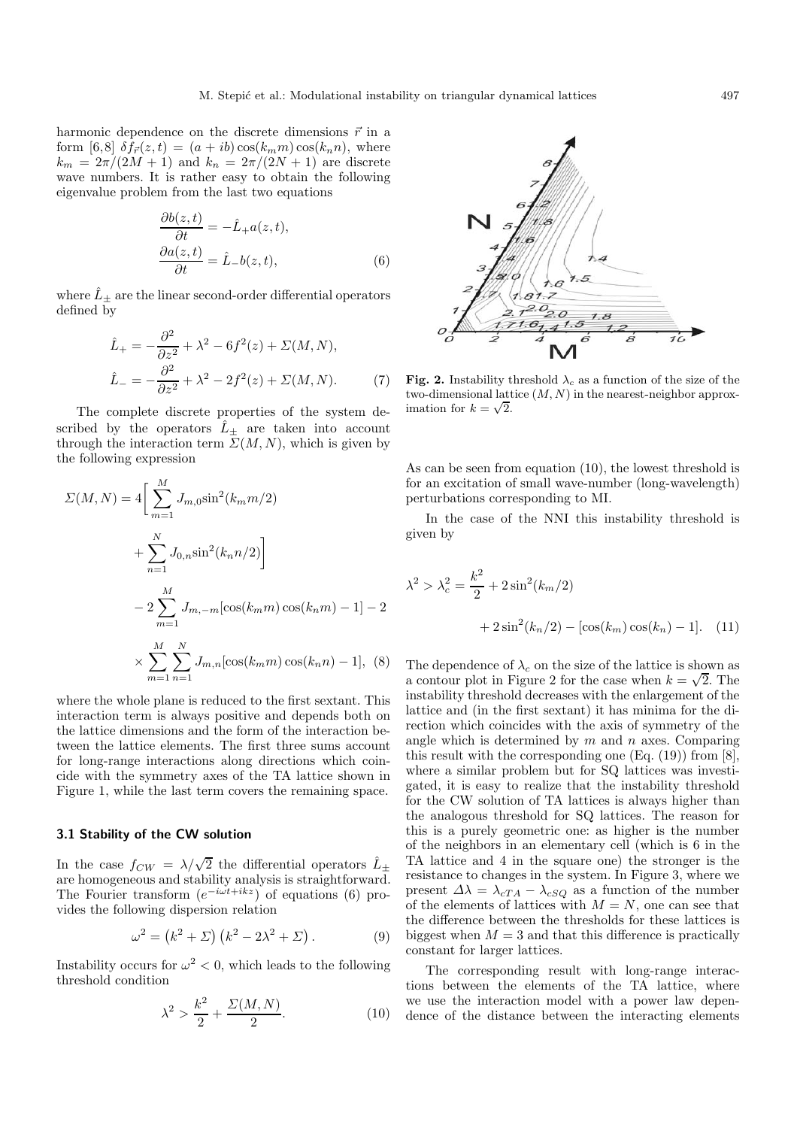harmonic dependence on the discrete dimensions  $\vec{r}$  in a form [6,8]  $\delta f_{\vec{r}}(z,t)=(a + ib)\cos(k_m m)\cos(k_n n),$  where  $k_m = 2\pi/(2M + 1)$  and  $k_n = 2\pi/(2N + 1)$  are discrete wave numbers. It is rather easy to obtain the following eigenvalue problem from the last two equations

$$
\frac{\partial b(z,t)}{\partial t} = -\hat{L}_+ a(z,t),
$$
  
\n
$$
\frac{\partial a(z,t)}{\partial t} = \hat{L}_- b(z,t),
$$
\n(6)

where  $\hat{L}_+$  are the linear second-order differential operators defined by

$$
\hat{L}_{+} = -\frac{\partial^{2}}{\partial z^{2}} + \lambda^{2} - 6f^{2}(z) + \Sigma(M, N),
$$
\n
$$
\hat{L}_{-} = -\frac{\partial^{2}}{\partial z^{2}} + \lambda^{2} - 2f^{2}(z) + \Sigma(M, N). \tag{7}
$$

The complete discrete properties of the system described by the operators  $\hat{L}_{\pm}$  are taken into account through the interaction term  $\Sigma(M,N)$ , which is given by the following expression

$$
\Sigma(M, N) = 4 \left[ \sum_{m=1}^{M} J_{m,0} \sin^2(k_m m/2) + \sum_{n=1}^{N} J_{0,n} \sin^2(k_n n/2) \right]
$$
  

$$
- 2 \sum_{m=1}^{M} J_{m,-m} [\cos(k_m m) \cos(k_n m) - 1] - 2
$$
  

$$
\times \sum_{m=1}^{M} \sum_{n=1}^{N} J_{m,n} [\cos(k_m m) \cos(k_n n) - 1], \quad (8)
$$

where the whole plane is reduced to the first sextant. This interaction term is always positive and depends both on the lattice dimensions and the form of the interaction between the lattice elements. The first three sums account for long-range interactions along directions which coincide with the symmetry axes of the TA lattice shown in Figure 1, while the last term covers the remaining space.

#### **3.1 Stability of the CW solution**

In the case  $f_{CW} = \lambda/\sqrt{2}$  the differential operators  $\hat{L}_{\pm}$ are homogeneous and stability analysis is straightforward. The Fourier transform  $(e^{-i\omega t+ikz})$  of equations (6) provides the following dispersion relation

$$
\omega^2 = (k^2 + \Sigma) (k^2 - 2\lambda^2 + \Sigma). \tag{9}
$$

Instability occurs for  $\omega^2 < 0$ , which leads to the following threshold condition

$$
\lambda^2 > \frac{k^2}{2} + \frac{\Sigma(M, N)}{2}.\tag{10}
$$



**Fig. 2.** Instability threshold  $\lambda_c$  as a function of the size of the two-dimensional lattice  $(M, N)$  in the nearest-neighbor approximation for  $k = \sqrt{2}$ .

As can be seen from equation (10), the lowest threshold is for an excitation of small wave-number (long-wavelength) perturbations corresponding to MI.

In the case of the NNI this instability threshold is given by

$$
\lambda^{2} > \lambda_{c}^{2} = \frac{k^{2}}{2} + 2\sin^{2}(k_{m}/2)
$$

$$
+ 2\sin^{2}(k_{n}/2) - [\cos(k_{m})\cos(k_{n}) - 1]. \quad (11)
$$

The dependence of  $\lambda_c$  on the size of the lattice is shown as a contour plot in Figure 2 for the case when  $k = \sqrt{2}$ . The instability threshold decreases with the enlargement of the lattice and (in the first sextant) it has minima for the direction which coincides with the axis of symmetry of the angle which is determined by  $m$  and  $n$  axes. Comparing this result with the corresponding one  $(Eq. (19))$  from  $[8]$ , where a similar problem but for SQ lattices was investigated, it is easy to realize that the instability threshold for the CW solution of TA lattices is always higher than the analogous threshold for SQ lattices. The reason for this is a purely geometric one: as higher is the number of the neighbors in an elementary cell (which is 6 in the TA lattice and 4 in the square one) the stronger is the resistance to changes in the system. In Figure 3, where we present  $\Delta \lambda = \lambda_{cTA} - \lambda_{cSQ}$  as a function of the number of the elements of lattices with  $M = N$ , one can see that the difference between the thresholds for these lattices is biggest when  $M = 3$  and that this difference is practically constant for larger lattices.

The corresponding result with long-range interactions between the elements of the TA lattice, where we use the interaction model with a power law dependence of the distance between the interacting elements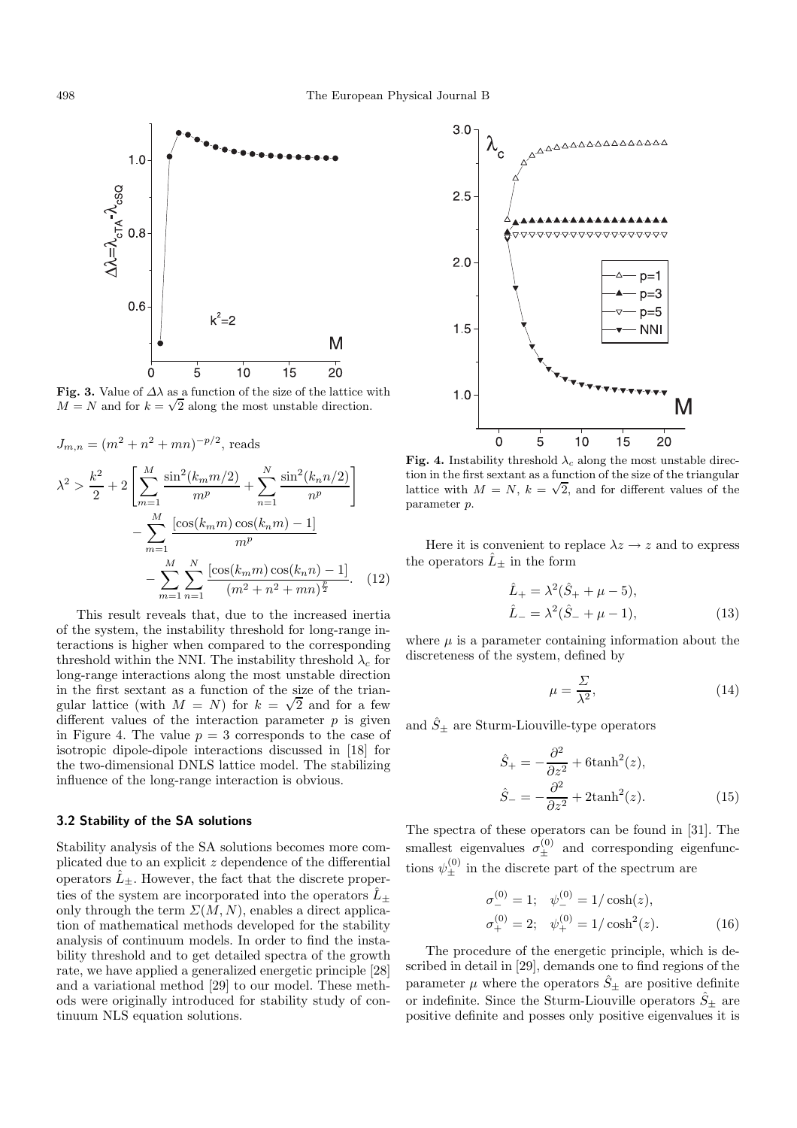

**Fig. 3.** Value of  $\Delta\lambda$  as a function of the size of the lattice with  $M = N$  and for  $k = \sqrt{2}$  along the most unstable direction.



$$
m=1
$$
  

$$
-\sum_{m=1}^{M} \sum_{n=1}^{N} \frac{\left[\cos(k_m m)\cos(k_n n) - 1\right]}{(m^2 + n^2 + mn)^{\frac{p}{2}}}.
$$
 (12)

This result reveals that, due to the increased inertia of the system, the instability threshold for long-range interactions is higher when compared to the corresponding threshold within the NNI. The instability threshold  $\lambda_c$  for long-range interactions along the most unstable direction in the first sextant as a function of the size of the triangular lattice (with  $M = N$ ) for  $k = \sqrt{2}$  and for a few different values of the interaction parameter  $p$  is given in Figure 4. The value  $p = 3$  corresponds to the case of isotropic dipole-dipole interactions discussed in [18] for the two-dimensional DNLS lattice model. The stabilizing influence of the long-range interaction is obvious.

#### **3.2 Stability of the SA solutions**

Stability analysis of the SA solutions becomes more complicated due to an explicit  $z$  dependence of the differential operators  $\hat{L}_{+}$ . However, the fact that the discrete properties of the system are incorporated into the operators  $\hat{L}_{+}$ only through the term  $\Sigma(M,N)$ , enables a direct application of mathematical methods developed for the stability analysis of continuum models. In order to find the instability threshold and to get detailed spectra of the growth rate, we have applied a generalized energetic principle [28] and a variational method [29] to our model. These methods were originally introduced for stability study of continuum NLS equation solutions.



Fig. 4. Instability threshold  $\lambda_c$  along the most unstable direction in the first sextant as a function of the size of the triangular lattice with  $M = N$ ,  $k = \sqrt{2}$ , and for different values of the parameter p.

Here it is convenient to replace  $\lambda z \rightarrow z$  and to express the operators  $\hat{L}_{\pm}$  in the form

$$
\hat{L}_{+} = \lambda^{2}(\hat{S}_{+} + \mu - 5), \n\hat{L}_{-} = \lambda^{2}(\hat{S}_{-} + \mu - 1),
$$
\n(13)

where  $\mu$  is a parameter containing information about the discreteness of the system, defined by

$$
\mu = \frac{\Sigma}{\lambda^2},\tag{14}
$$

and  $\hat{S}_{\pm}$  are Sturm-Liouville-type operators

$$
\hat{S}_{+} = -\frac{\partial^2}{\partial z^2} + 6 \tanh^2(z),
$$
  
\n
$$
\hat{S}_{-} = -\frac{\partial^2}{\partial z^2} + 2 \tanh^2(z).
$$
\n(15)

The spectra of these operators can be found in [31]. The smallest eigenvalues  $\sigma_{\pm}^{(0)}$  and corresponding eigenfunctions  $\psi_{\pm}^{(0)}$  in the discrete part of the spectrum are

$$
\sigma_{-}^{(0)} = 1; \quad \psi_{-}^{(0)} = 1/\cosh(z),
$$
  
\n
$$
\sigma_{+}^{(0)} = 2; \quad \psi_{+}^{(0)} = 1/\cosh^{2}(z). \tag{16}
$$

The procedure of the energetic principle, which is described in detail in [29], demands one to find regions of the parameter  $\mu$  where the operators  $\hat{S}_{\pm}$  are positive definite or indefinite. Since the Sturm-Liouville operators  $\hat{S}_{\pm}$  are positive definite and posses only positive eigenvalues it is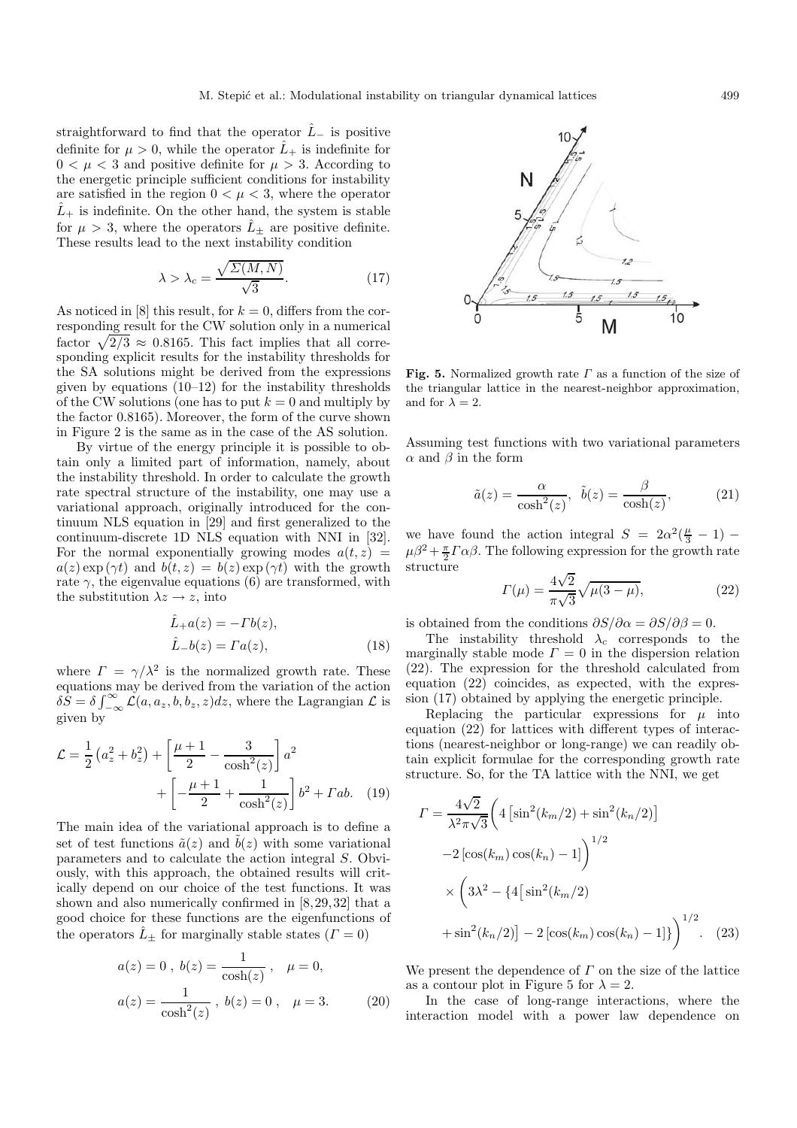straightforward to find that the operator  $\hat{L}_-$  is positive definite for  $\mu > 0$ , while the operator  $\tilde{L}_+$  is indefinite for  $0 < \mu < 3$  and positive definite for  $\mu > 3$ . According to the energetic principle sufficient conditions for instability are satisfied in the region  $0 < \mu < 3$ , where the operator  $\hat{L}_{+}$  is indefinite. On the other hand, the system is stable for  $\mu > 3$ , where the operators  $\hat{L}_+$  are positive definite. These results lead to the next instability condition

$$
\lambda > \lambda_c = \frac{\sqrt{\Sigma(M, N)}}{\sqrt{3}}.
$$
\n(17)

As noticed in [8] this result, for  $k = 0$ , differs from the corresponding result for the CW solution only in a numerical factor  $\sqrt{2/3} \approx 0.8165$ . This fact implies that all corresponding explicit results for the instability thresholds for the SA solutions might be derived from the expressions given by equations (10–12) for the instability thresholds of the CW solutions (one has to put  $k = 0$  and multiply by the factor 0.8165). Moreover, the form of the curve shown in Figure 2 is the same as in the case of the AS solution.

By virtue of the energy principle it is possible to obtain only a limited part of information, namely, about the instability threshold. In order to calculate the growth rate spectral structure of the instability, one may use a variational approach, originally introduced for the continuum NLS equation in [29] and first generalized to the continuum-discrete 1D NLS equation with NNI in [32]. For the normal exponentially growing modes  $a(t, z)$  =  $a(z) \exp(\gamma t)$  and  $b(t, z) = b(z) \exp(\gamma t)$  with the growth rate  $\gamma$ , the eigenvalue equations (6) are transformed, with the substitution  $\lambda z \rightarrow z$ , into

$$
\hat{L}_+a(z) = -Tb(z),
$$
  
\n
$$
\hat{L}_-b(z) = \Gamma a(z),
$$
\n(18)

where  $\Gamma = \gamma/\lambda^2$  is the normalized growth rate. These equations may be derived from the variation of the action  $\delta \dot{S} = \delta \int_{-\infty}^{\infty} \mathcal{L}(a, a_z, b, b_z, z) dz$ , where the Lagrangian  $\mathcal{L}$  is given by

$$
\mathcal{L} = \frac{1}{2} \left( a_z^2 + b_z^2 \right) + \left[ \frac{\mu + 1}{2} - \frac{3}{\cosh^2(z)} \right] a^2 + \left[ -\frac{\mu + 1}{2} + \frac{1}{\cosh^2(z)} \right] b^2 + \Gamma ab. \quad (19)
$$

The main idea of the variational approach is to define a set of test functions  $\tilde{a}(z)$  and  $\tilde{b}(z)$  with some variational parameters and to calculate the action integral S. Obviously, with this approach, the obtained results will critically depend on our choice of the test functions. It was shown and also numerically confirmed in [8,29,32] that a good choice for these functions are the eigenfunctions of the operators  $\hat{L}_+$  for marginally stable states  $(\Gamma = 0)$ 

$$
a(z) = 0, b(z) = \frac{1}{\cosh(z)}, \mu = 0,
$$
  

$$
a(z) = \frac{1}{\cosh^2(z)}, b(z) = 0, \mu = 3.
$$
 (20)



**Fig. 5.** Normalized growth rate <sup>Γ</sup> as a function of the size of the triangular lattice in the nearest-neighbor approximation, and for  $\lambda = 2$ .

Assuming test functions with two variational parameters  $\alpha$  and  $\beta$  in the form

$$
\tilde{a}(z) = \frac{\alpha}{\cosh^2(z)}, \quad \tilde{b}(z) = \frac{\beta}{\cosh(z)},\tag{21}
$$

we have found the action integral  $S = 2\alpha^2(\frac{\mu}{3} - 1)$  –  $\mu\beta^2 + \frac{\pi}{2}\Gamma\alpha\beta$ . The following expression for the growth rate structure √

$$
\Gamma(\mu) = \frac{4\sqrt{2}}{\pi\sqrt{3}}\sqrt{\mu(3-\mu)},
$$
\n(22)

is obtained from the conditions  $\partial S/\partial \alpha = \partial S/\partial \beta = 0$ .

The instability threshold  $\lambda_c$  corresponds to the marginally stable mode  $\Gamma = 0$  in the dispersion relation (22). The expression for the threshold calculated from equation (22) coincides, as expected, with the expression (17) obtained by applying the energetic principle.

Replacing the particular expressions for  $\mu$  into equation (22) for lattices with different types of interactions (nearest-neighbor or long-range) we can readily obtain explicit formulae for the corresponding growth rate structure. So, for the TA lattice with the NNI, we get

$$
\Gamma = \frac{4\sqrt{2}}{\lambda^2 \pi \sqrt{3}} \left( 4 \left[ \sin^2(k_m/2) + \sin^2(k_n/2) \right] -2 \left[ \cos(k_m) \cos(k_n) - 1 \right] \right)^{1/2} \times \left( 3\lambda^2 - \{ 4 \left[ \sin^2(k_m/2) \right] + \sin^2(k_n/2) \right) - 2 \left[ \cos(k_m) \cos(k_n) - 1 \right] \} \right)^{1/2} . \tag{23}
$$

We present the dependence of  $\Gamma$  on the size of the lattice as a contour plot in Figure 5 for  $\lambda = 2$ .

In the case of long-range interactions, where the interaction model with a power law dependence on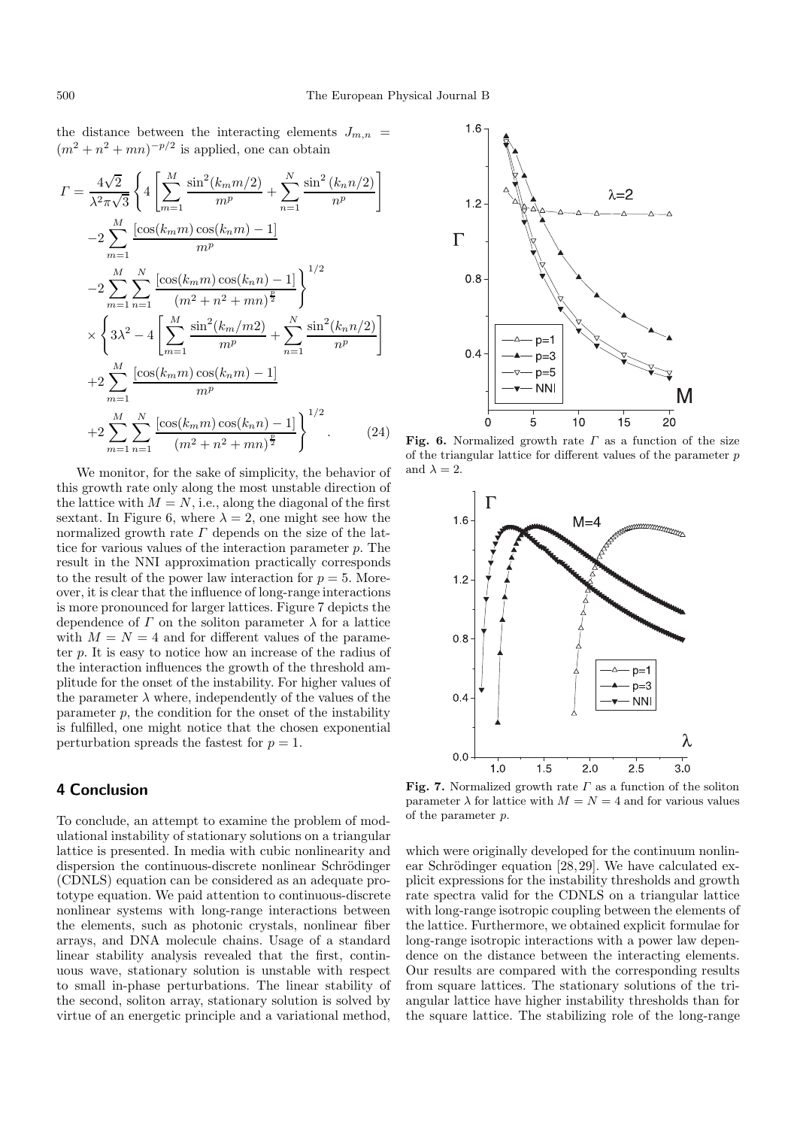the distance between the interacting elements  $J_{m,n}$  =  $(m^2 + n^2 + mn)^{-p/2}$  is applied, one can obtain

$$
I = \frac{4\sqrt{2}}{\lambda^2 \pi \sqrt{3}} \left\{ 4 \left[ \sum_{m=1}^{M} \frac{\sin^2(k_m m/2)}{m^p} + \sum_{n=1}^{N} \frac{\sin^2(k_n n/2)}{n^p} \right] -2 \sum_{m=1}^{M} \frac{[\cos(k_m m) \cos(k_n m) - 1]}{m^p} -2 \sum_{m=1}^{M} \sum_{n=1}^{N} \frac{[\cos(k_m m) \cos(k_n m) - 1]}{(m^2 + n^2 + mn)^{\frac{p}{2}}} \right\}^{1/2} \times \left\{ 3\lambda^2 - 4 \left[ \sum_{m=1}^{M} \frac{\sin^2(k_m / m2)}{m^p} + \sum_{n=1}^{N} \frac{\sin^2(k_n n/2)}{n^p} \right] +2 \sum_{m=1}^{M} \frac{[\cos(k_m m) \cos(k_n m) - 1]}{m^p} +2 \sum_{m=1}^{M} \sum_{n=1}^{N} \frac{[\cos(k_m m) \cos(k_n n) - 1]}{(m^2 + n^2 + mn)^{\frac{p}{2}}} \right\}^{1/2}.
$$
 (24)

We monitor, for the sake of simplicity, the behavior of this growth rate only along the most unstable direction of the lattice with  $M = N$ , i.e., along the diagonal of the first sextant. In Figure 6, where  $\lambda = 2$ , one might see how the normalized growth rate  $\Gamma$  depends on the size of the lattice for various values of the interaction parameter p. The result in the NNI approximation practically corresponds to the result of the power law interaction for  $p = 5$ . Moreover, it is clear that the influence of long-range interactions is more pronounced for larger lattices. Figure 7 depicts the dependence of  $\Gamma$  on the soliton parameter  $\lambda$  for a lattice with  $M = N = 4$  and for different values of the parameter p. It is easy to notice how an increase of the radius of the interaction influences the growth of the threshold amplitude for the onset of the instability. For higher values of the parameter  $\lambda$  where, independently of the values of the parameter p, the condition for the onset of the instability is fulfilled, one might notice that the chosen exponential perturbation spreads the fastest for  $p = 1$ .

## **4 Conclusion**

To conclude, an attempt to examine the problem of modulational instability of stationary solutions on a triangular lattice is presented. In media with cubic nonlinearity and dispersion the continuous-discrete nonlinear Schrödinger (CDNLS) equation can be considered as an adequate prototype equation. We paid attention to continuous-discrete nonlinear systems with long-range interactions between the elements, such as photonic crystals, nonlinear fiber arrays, and DNA molecule chains. Usage of a standard linear stability analysis revealed that the first, continuous wave, stationary solution is unstable with respect to small in-phase perturbations. The linear stability of the second, soliton array, stationary solution is solved by virtue of an energetic principle and a variational method,



**Fig. 6.** Normalized growth rate  $\Gamma$  as a function of the size of the triangular lattice for different values of the parameter p and  $\lambda = 2$ .



**Fig. 7.** Normalized growth rate <sup>Γ</sup> as a function of the soliton parameter  $\lambda$  for lattice with  $M = N = 4$  and for various values of the parameter p.

which were originally developed for the continuum nonlinear Schrödinger equation  $[28, 29]$ . We have calculated explicit expressions for the instability thresholds and growth rate spectra valid for the CDNLS on a triangular lattice with long-range isotropic coupling between the elements of the lattice. Furthermore, we obtained explicit formulae for long-range isotropic interactions with a power law dependence on the distance between the interacting elements. Our results are compared with the corresponding results from square lattices. The stationary solutions of the triangular lattice have higher instability thresholds than for the square lattice. The stabilizing role of the long-range